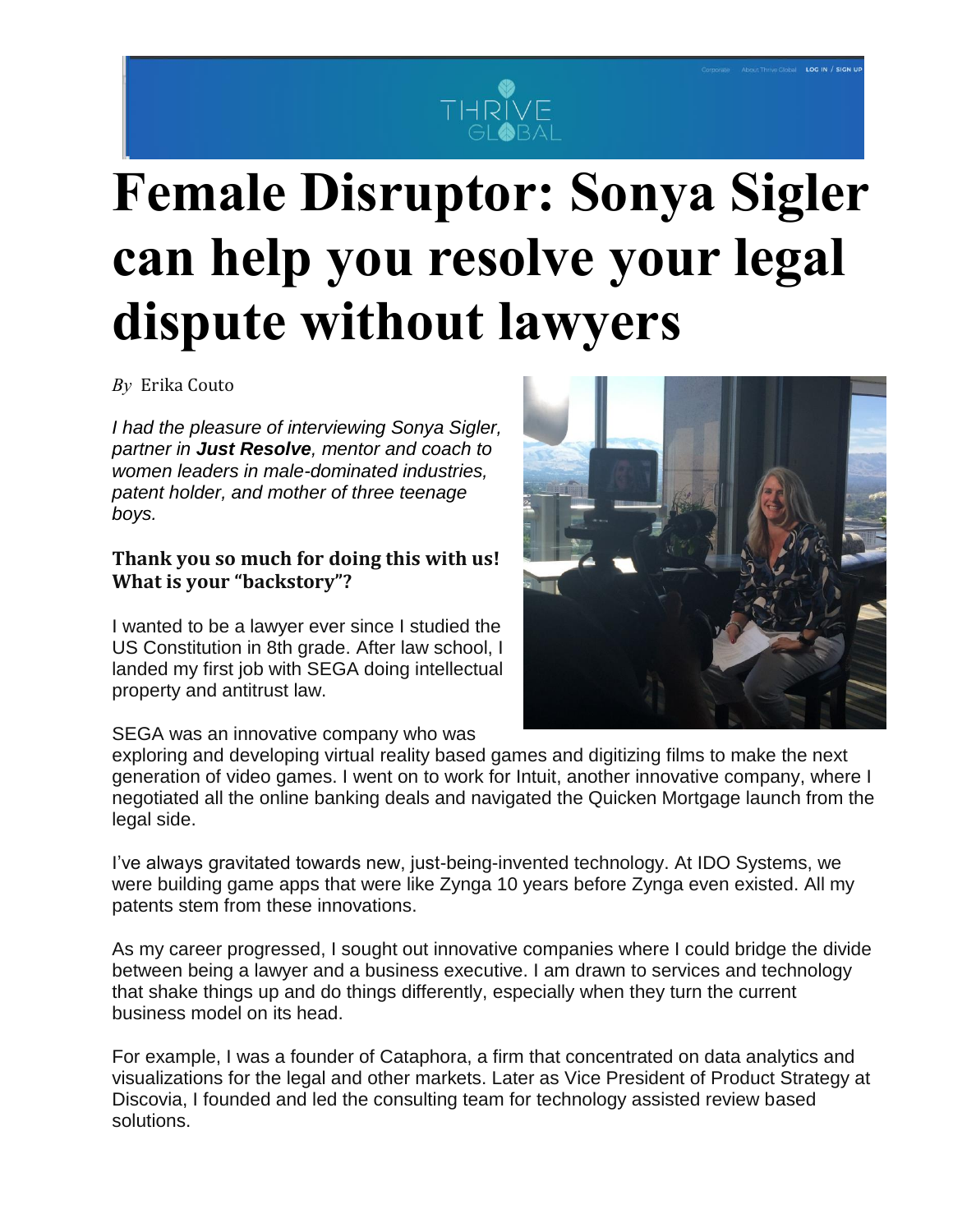

# **Female Disruptor: Sonya Sigler can help you resolve your legal dispute without lawyers**

*By* Erika [Couto](https://thriveglobal.com/authors/erika-ashley/)

*I had the pleasure of interviewing Sonya Sigler, partner in Just Resolve, mentor and coach to women leaders in male-dominated industries, patent holder, and mother of three teenage boys.*

### **Thank you so much for doing this with us! What is your "backstory"?**

I wanted to be a lawyer ever since I studied the US Constitution in 8th grade. After law school, I landed my first job with SEGA doing intellectual property and antitrust law.

SEGA was an innovative company who was

exploring and developing virtual reality based games and digitizing films to make the next generation of video games. I went on to work for Intuit, another innovative company, where I negotiated all the online banking deals and navigated the Quicken Mortgage launch from the legal side.

I've always gravitated towards new, just-being-invented technology. At IDO Systems, we were building game apps that were like Zynga 10 years before Zynga even existed. All my patents stem from these innovations.

As my career progressed, I sought out innovative companies where I could bridge the divide between being a lawyer and a business executive. I am drawn to services and technology that shake things up and do things differently, especially when they turn the current business model on its head.

For example, I was a founder of Cataphora, a firm that concentrated on data analytics and visualizations for the legal and other markets. Later as Vice President of Product Strategy at Discovia, I founded and led the consulting team for technology assisted review based solutions.

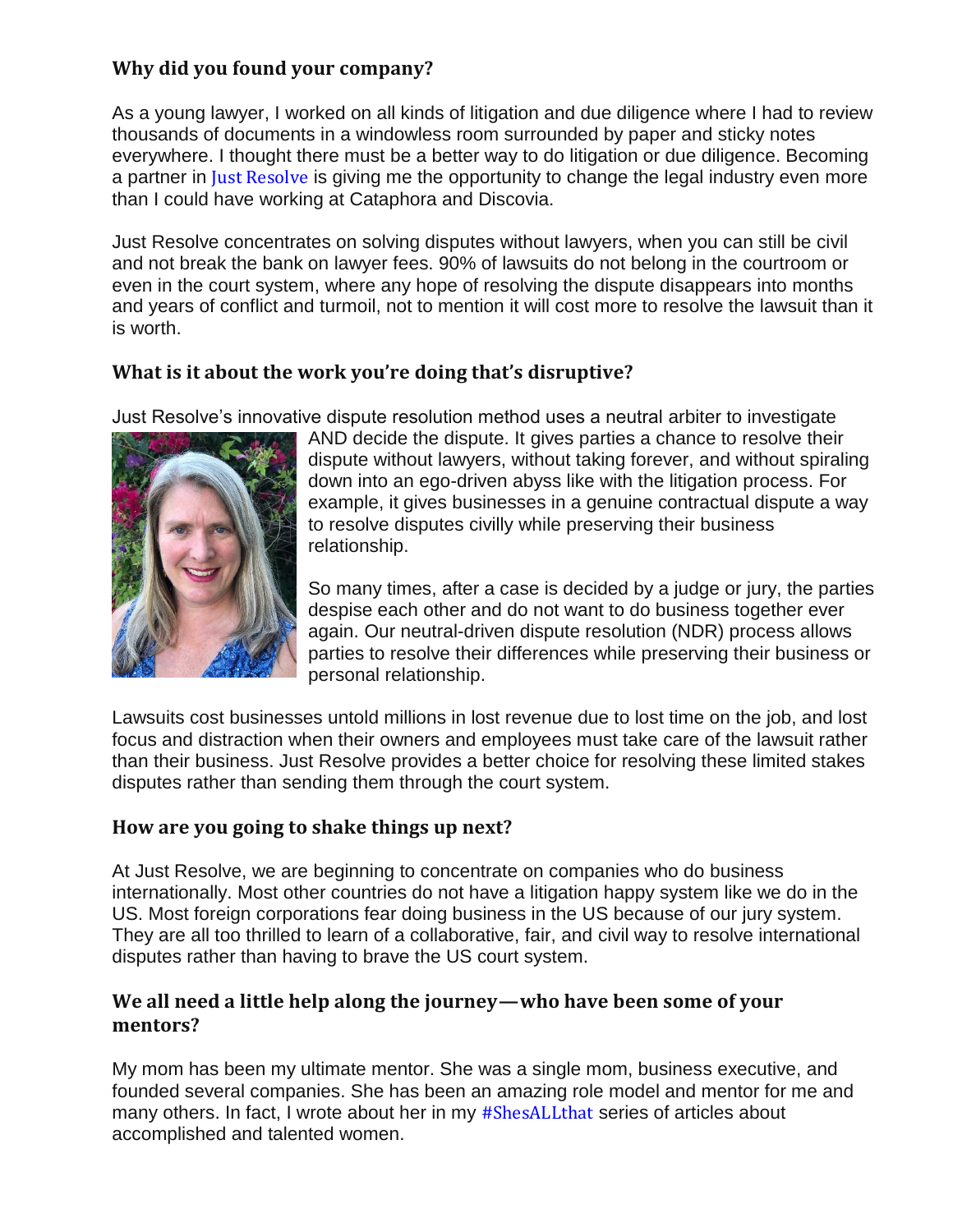## **Why did you found your company?**

As a young lawyer, I worked on all kinds of litigation and due diligence where I had to review thousands of documents in a windowless room surrounded by paper and sticky notes everywhere. I thought there must be a better way to do litigation or due diligence. Becoming a partner in Just [Resolve](http://www.justresolve.com/) is giving me the opportunity to change the legal industry even more than I could have working at Cataphora and Discovia.

Just Resolve concentrates on solving disputes without lawyers, when you can still be civil and not break the bank on lawyer fees. 90% of lawsuits do not belong in the courtroom or even in the court system, where any hope of resolving the dispute disappears into months and years of conflict and turmoil, not to mention it will cost more to resolve the lawsuit than it is worth.

## **What is it about the work you're doing that's disruptive?**

Just Resolve's innovative dispute resolution method uses a neutral arbiter to investigate



AND decide the dispute. It gives parties a chance to resolve their dispute without lawyers, without taking forever, and without spiraling down into an ego-driven abyss like with the litigation process. For example, it gives businesses in a genuine contractual dispute a way to resolve disputes civilly while preserving their business relationship.

So many times, after a case is decided by a judge or jury, the parties despise each other and do not want to do business together ever again. Our neutral-driven dispute resolution (NDR) process allows parties to resolve their differences while preserving their business or personal relationship.

Lawsuits cost businesses untold millions in lost revenue due to lost time on the job, and lost focus and distraction when their owners and employees must take care of the lawsuit rather than their business. Just Resolve provides a better choice for resolving these limited stakes disputes rather than sending them through the court system.

## **How are you going to shake things up next?**

At Just Resolve, we are beginning to concentrate on companies who do business internationally. Most other countries do not have a litigation happy system like we do in the US. Most foreign corporations fear doing business in the US because of our jury system. They are all too thrilled to learn of a collaborative, fair, and civil way to resolve international disputes rather than having to brave the US court system.

### **We all need a little help along the journey — who have been some of your mentors?**

My mom has been my ultimate mentor. She was a single mom, business executive, and founded several companies. She has been an amazing role model and mentor for me and many others. In fact, I wrote about her in my [#ShesALLthat](http://iampractigal.com/2018/07/12/day-7-pam-isom/) series of articles about accomplished and talented women.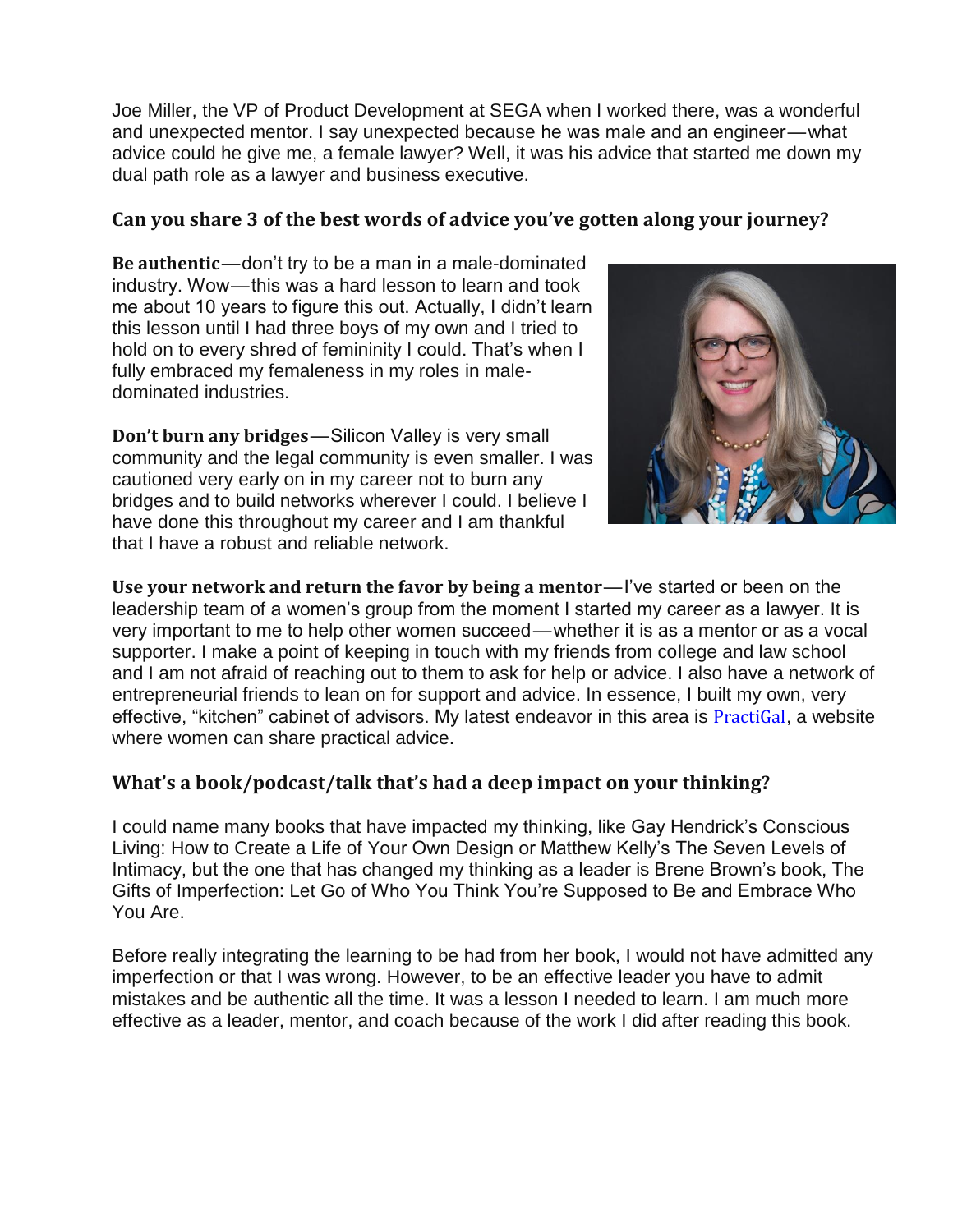Joe Miller, the VP of Product Development at SEGA when I worked there, was a wonderful and unexpected mentor. I say unexpected because he was male and an engineer—what advice could he give me, a female lawyer? Well, it was his advice that started me down my dual path role as a lawyer and business executive.

#### **Can you share 3 of the best words of advice you've gotten along your journey?**

**Be authentic**— don't try to be a man in a male-dominated industry. Wow — this was a hard lesson to learn and took me about 10 years to figure this out. Actually, I didn't learn this lesson until I had three boys of my own and I tried to hold on to every shred of femininity I could. That's when I fully embraced my femaleness in my roles in maledominated industries.

**Don't burn any bridges**— Silicon Valley is very small community and the legal community is even smaller. I was cautioned very early on in my career not to burn any bridges and to build networks wherever I could. I believe I have done this throughout my career and I am thankful that I have a robust and reliable network.



**Use your network and return the favor by being a mentor**— I've started or been on the leadership team of a women's group from the moment I started my career as a lawyer. It is very important to me to help other women succeed — whether it is as a mentor or as a vocal supporter. I make a point of keeping in touch with my friends from college and law school and I am not afraid of reaching out to them to ask for help or advice. I also have a network of entrepreneurial friends to lean on for support and advice. In essence, I built my own, very effective, "kitchen" cabinet of advisors. My latest endeavor in this area is [PractiGal](http://www.iampractigal.com/), a website where women can share practical advice.

#### **What's a book/podcast/talk that's had a deep impact on your thinking?**

I could name many books that have impacted my thinking, like Gay Hendrick's Conscious Living: How to Create a Life of Your Own Design or Matthew Kelly's The Seven Levels of Intimacy, but the one that has changed my thinking as a leader is Brene Brown's book, The Gifts of Imperfection: Let Go of Who You Think You're Supposed to Be and Embrace Who You Are.

Before really integrating the learning to be had from her book, I would not have admitted any imperfection or that I was wrong. However, to be an effective leader you have to admit mistakes and be authentic all the time. It was a lesson I needed to learn. I am much more effective as a leader, mentor, and coach because of the work I did after reading this book.